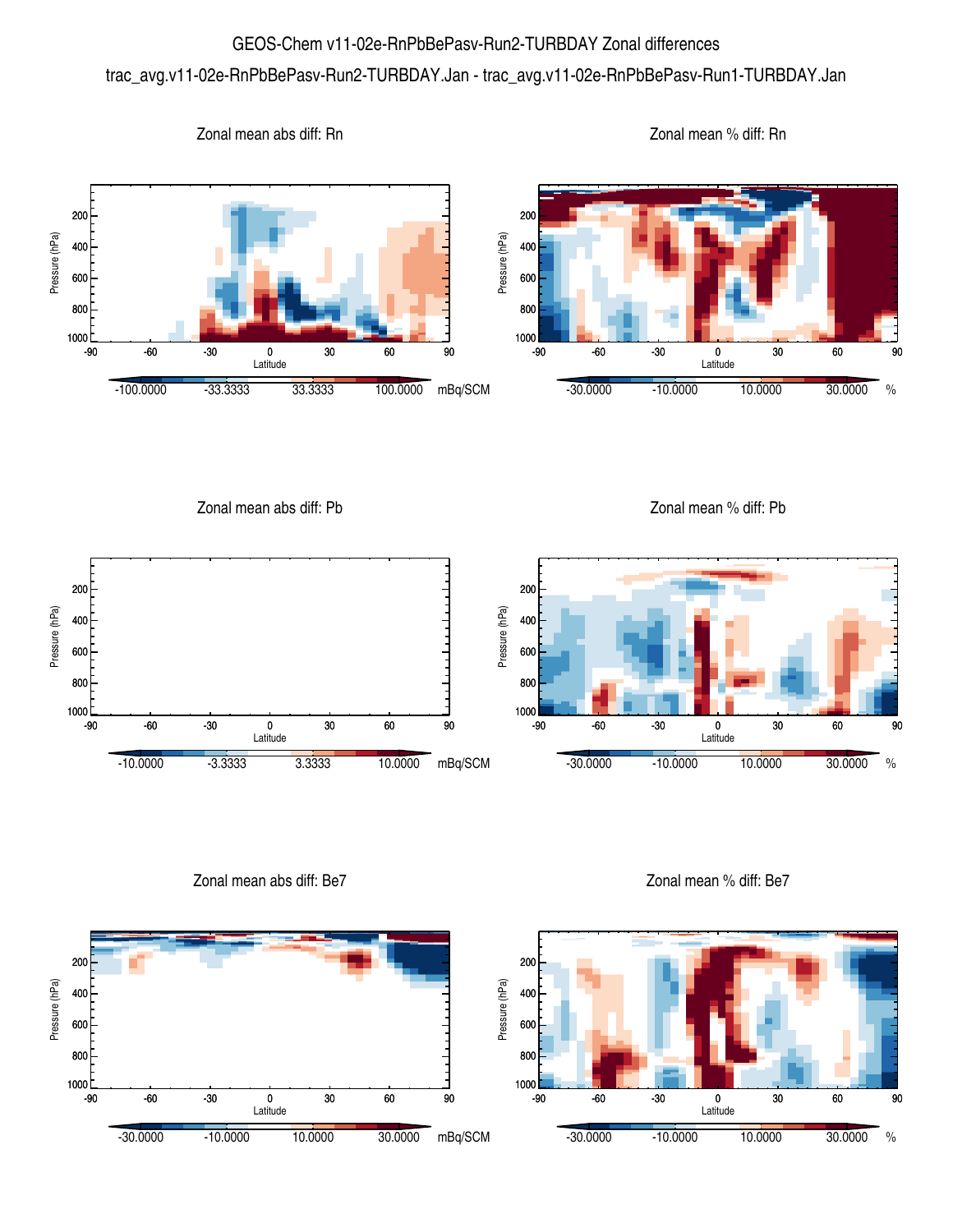## GEOS-Chem v11-02e-RnPbBePasv-Run2-TURBDAY Zonal differences

## trac\_avg.v11-02e-RnPbBePasv-Run2-TURBDAY.Jan - trac\_avg.v11-02e-RnPbBePasv-Run1-TURBDAY.Jan



Zonal mean abs diff: Pb Zonal mean % diff: Pb 200 200 Pressure (hPa) Pressure (hPa) Pressure (hPa) Pressure (hPa) 400 400 600 600 800 800 1000 1000 -90 -60 -30 0 30 60 90 -90 -60 -30 0 30 60 90 Latitude Latitude -10.0000 -3.3333 3.3333 10.0000 mBq/SCM -30.0000 -10.0000 10.0000 30.0000 %

Zonal mean abs diff: Be7



Zonal mean % diff: Be7